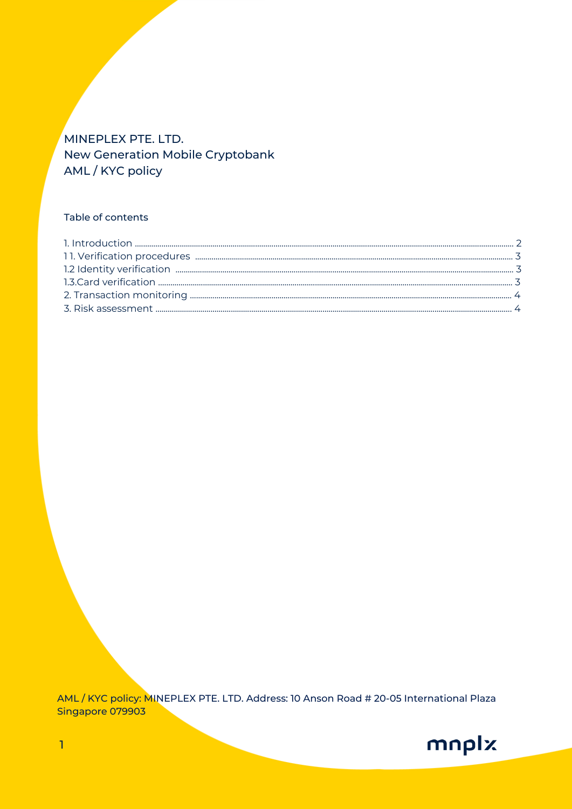# MINEPLEX PTE. LTD. New Generation Mobile Cryptobank AML / KYC policy

# Table of contents

AML / KYC policy: MINEPLEX PTE. LTD. Address: 10 Anson Road # 20-05 International Plaza Singapore 079903

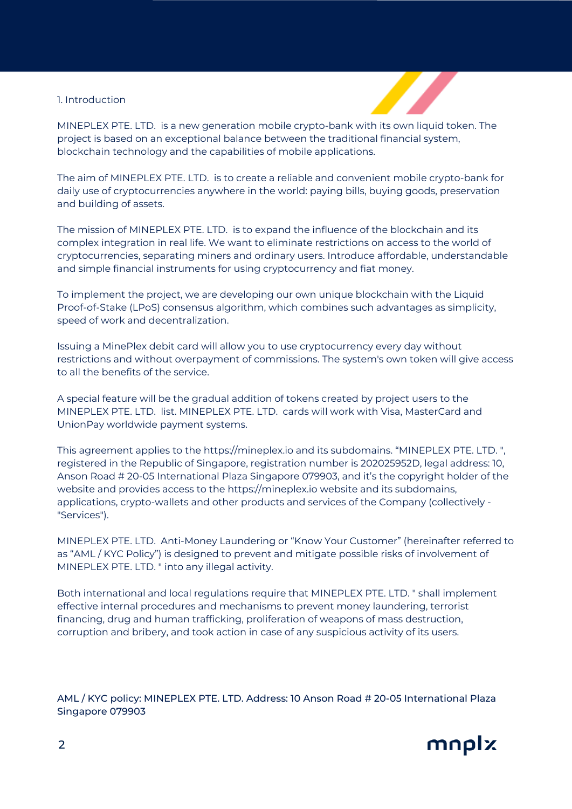## 1. Introduction



MINEPLEX PTE. LTD. is a new generation mobile crypto-bank with its own liquid token. The project is based on an exceptional balance between the traditional financial system, blockchain technology and the capabilities of mobile applications.

The aim of MINEPLEX PTE. LTD. is to create a reliable and convenient mobile crypto-bank for daily use of cryptocurrencies anywhere in the world: paying bills, buying goods, preservation and building of assets.

The mission of MINEPLEX PTE. LTD. is to expand the influence of the blockchain and its complex integration in real life. We want to eliminate restrictions on access to the world of cryptocurrencies, separating miners and ordinary users. Introduce affordable, understandable and simple financial instruments for using cryptocurrency and fiat money.

To implement the project, we are developing our own unique blockchain with the Liquid Proof-of-Stake (LPoS) consensus algorithm, which combines such advantages as simplicity, speed of work and decentralization.

Issuing a MinePlex debit card will allow you to use cryptocurrency every day without restrictions and without overpayment of commissions. The system's own token will give access to all the benefits of the service.

A special feature will be the gradual addition of tokens created by project users to the MINEPLEX PTE. LTD. list. MINEPLEX PTE. LTD. cards will work with Visa, MasterCard and UnionPay worldwide payment systems.

This agreement applies to the [https://mineplex.io](https://mineplex.io/) and its subdomains. "MINEPLEX PTE. LTD. ", registered in the Republic of Singapore, registration number is 202025952D, legal address: 10, Anson Road # 20-05 International Plaza Singapore 079903, and it's the copyright holder of the website and provides access to the https://mineplex.io website and its subdomains, applications, crypto-wallets and other products and services of the Company (collectively - "Services").

MINEPLEX PTE. LTD. Anti-Money Laundering or "Know Your Customer" (hereinafter referred to as "AML / KYC Policy") is designed to prevent and mitigate possible risks of involvement of MINEPLEX PTE. LTD. " into any illegal activity.

Both international and local regulations require that MINEPLEX PTE. LTD. " shall implement effective internal procedures and mechanisms to prevent money laundering, terrorist financing, drug and human trafficking, proliferation of weapons of mass destruction, corruption and bribery, and took action in case of any suspicious activity of its users.

AML / KYC policy: MINEPLEX PTE. LTD. Address: 10 Anson Road # 20-05 International Plaza Singapore 079903

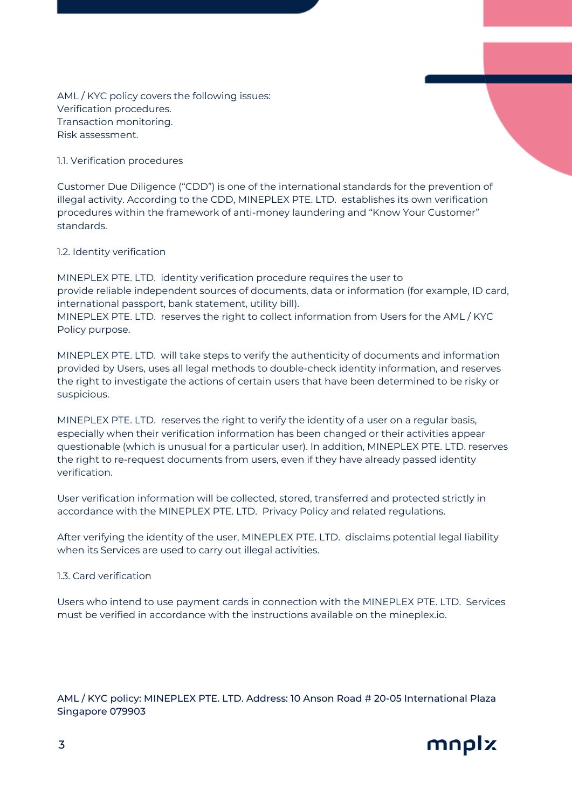AML / KYC policy covers the following issues: Verification procedures. Transaction monitoring. Risk assessment.

## 1.1. Verification procedures

Customer Due Diligence ("CDD") is one of the international standards for the prevention of illegal activity. According to the CDD, MINEPLEX PTE. LTD. establishes its own verification procedures within the framework of anti-money laundering and "Know Your Customer" standards.

## 1.2. Identity verification

MINEPLEX PTE. LTD. identity verification procedure requires the user to provide reliable independent sources of documents, data or information (for example, ID card, international passport, bank statement, utility bill). MINEPLEX PTE. LTD. reserves the right to collect information from Users for the AML / KYC Policy purpose.

MINEPLEX PTE. LTD. will take steps to verify the authenticity of documents and information provided by Users, uses all legal methods to double-check identity information, and reserves the right to investigate the actions of certain users that have been determined to be risky or suspicious.

MINEPLEX PTE. LTD. reserves the right to verify the identity of a user on a regular basis, especially when their verification information has been changed or their activities appear questionable (which is unusual for a particular user). In addition, MINEPLEX PTE. LTD. reserves the right to re-request documents from users, even if they have already passed identity verification.

User verification information will be collected, stored, transferred and protected strictly in accordance with the MINEPLEX PTE. LTD. Privacy Policy and related regulations.

After verifying the identity of the user, MINEPLEX PTE. LTD. disclaims potential legal liability when its Services are used to carry out illegal activities.

#### 1.3. Card verification

Users who intend to use payment cards in connection with the MINEPLEX PTE. LTD. Services must be verified in accordance with the instructions available on the mineplex.io.

AML / KYC policy: MINEPLEX PTE. LTD. Address: 10 Anson Road # 20-05 International Plaza Singapore 079903